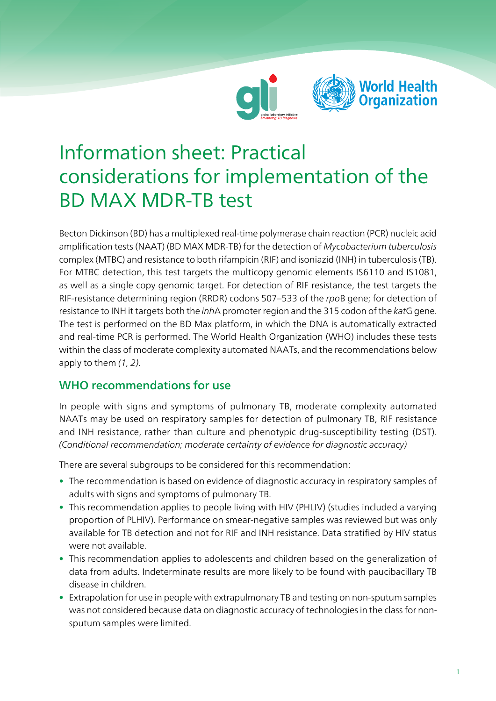



# Information sheet: Practical considerations for implementation of the BD MAX MDR-TB test

Becton Dickinson (BD) has a multiplexed real-time polymerase chain reaction (PCR) nucleic acid amplification tests (NAAT) (BD MAX MDR-TB) for the detection of Mycobacterium tuberculosis complex (MTBC) and resistance to both rifampicin (RIF) and isoniazid (INH) in tuberculosis (TB). For MTBC detection, this test targets the multicopy genomic elements IS6110 and IS1081, as well as a single copy genomic target. For detection of RIF resistance, the test targets the RIF-resistance determining region (RRDR) codons 507–533 of the rpoB gene; for detection of resistance to INH it targets both the *inhA* promoter region and the 315 codon of the katG gene. The test is performed on the BD Max platform, in which the DNA is automatically extracted and real-time PCR is performed. The World Health Organization (WHO) includes these tests within the class of moderate complexity automated NAATs, and the recommendations below apply to them (1, 2).

## WHO recommendations for use

In people with signs and symptoms of pulmonary TB, moderate complexity automated NAATs may be used on respiratory samples for detection of pulmonary TB, RIF resistance and INH resistance, rather than culture and phenotypic drug-susceptibility testing (DST). (Conditional recommendation; moderate certainty of evidence for diagnostic accuracy)

There are several subgroups to be considered for this recommendation:

- The recommendation is based on evidence of diagnostic accuracy in respiratory samples of adults with signs and symptoms of pulmonary TB.
- This recommendation applies to people living with HIV (PHLIV) (studies included a varying proportion of PLHIV). Performance on smear-negative samples was reviewed but was only available for TB detection and not for RIF and INH resistance. Data stratified by HIV status were not available.
- This recommendation applies to adolescents and children based on the generalization of data from adults. Indeterminate results are more likely to be found with paucibacillary TB disease in children.
- Extrapolation for use in people with extrapulmonary TB and testing on non-sputum samples was not considered because data on diagnostic accuracy of technologies in the class for nonsputum samples were limited.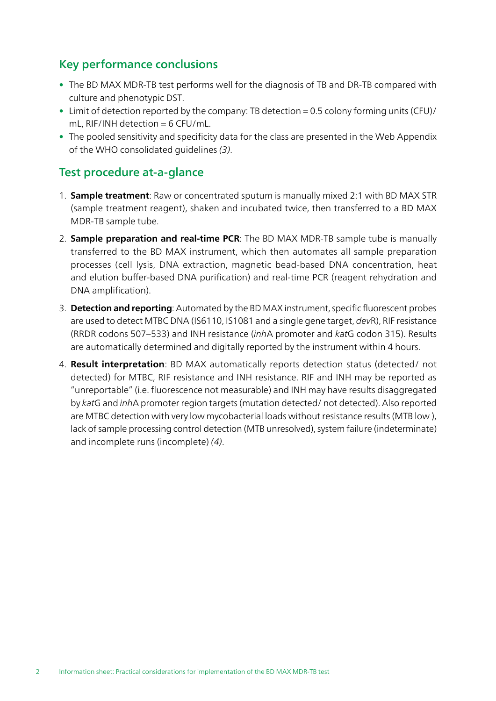## Key performance conclusions

- The BD MAX MDR-TB test performs well for the diagnosis of TB and DR-TB compared with culture and phenotypic DST.
- Limit of detection reported by the company: TB detection = 0.5 colony forming units (CFU)/ mL,  $RIF/INH$  detection = 6 CFU/mL.
- The pooled sensitivity and specificity data for the class are presented in the Web Appendix of the WHO consolidated guidelines (3).

#### Test procedure at-a-glance

- 1. Sample treatment: Raw or concentrated sputum is manually mixed 2:1 with BD MAX STR (sample treatment reagent), shaken and incubated twice, then transferred to a BD MAX MDR-TB sample tube.
- 2. **Sample preparation and real-time PCR**: The BD MAX MDR-TB sample tube is manually transferred to the BD MAX instrument, which then automates all sample preparation processes (cell lysis, DNA extraction, magnetic bead-based DNA concentration, heat and elution buffer-based DNA purification) and real-time PCR (reagent rehydration and DNA amplification).
- 3. **Detection and reporting**: Automated by the BD MAX instrument, specific fluorescent probes are used to detect MTBC DNA (IS6110, IS1081 and a single gene target, devR), RIF resistance (RRDR codons 507–533) and INH resistance (inhA promoter and katG codon 315). Results are automatically determined and digitally reported by the instrument within 4 hours.
- 4. **Result interpretation**: BD MAX automatically reports detection status (detected/ not detected) for MTBC, RIF resistance and INH resistance. RIF and INH may be reported as "unreportable" (i.e. fluorescence not measurable) and INH may have results disaggregated by katG and inhA promoter region targets (mutation detected/ not detected). Also reported are MTBC detection with very low mycobacterial loads without resistance results (MTB low ), lack of sample processing control detection (MTB unresolved), system failure (indeterminate) and incomplete runs (incomplete) (4).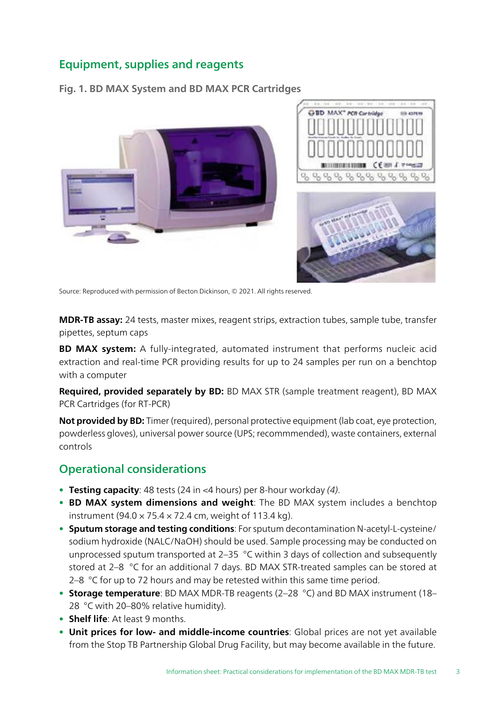# Equipment, supplies and reagents

Fig. 1. BD MAX System and BD MAX PCR Cartridges





Source: Reproduced with permission of Becton Dickinson, © 2021. All rights reserved.

MDR-TB assay: 24 tests, master mixes, reagent strips, extraction tubes, sample tube, transfer pipettes, septum caps

BD MAX system: A fully-integrated, automated instrument that performs nucleic acid extraction and real-time PCR providing results for up to 24 samples per run on a benchtop with a computer

Required, provided separately by BD: BD MAX STR (sample treatment reagent), BD MAX PCR Cartridges (for RT-PCR)

Not provided by BD: Timer (required), personal protective equipment (lab coat, eye protection, powderless gloves), universal power source (UPS; recommmended), waste containers, external controls

## Operational considerations

- Testing capacity: 48 tests (24 in  $\leq$ 4 hours) per 8-hour workday (4).
- BD MAX system dimensions and weight: The BD MAX system includes a benchtop instrument (94.0  $\times$  75.4  $\times$  72.4 cm, weight of 113.4 kg).
- Sputum storage and testing conditions: For sputum decontamination N-acetyl-L-cysteine/ sodium hydroxide (NALC/NaOH) should be used. Sample processing may be conducted on unprocessed sputum transported at 2–35 °C within 3 days of collection and subsequently stored at 2–8 °C for an additional 7 days. BD MAX STR-treated samples can be stored at 2–8  $\degree$ C for up to 72 hours and may be retested within this same time period.
- Storage temperature: BD MAX MDR-TB reagents (2-28 °C) and BD MAX instrument (18– 28 °C with 20–80% relative humidity).
- Shelf life: At least 9 months.
- Unit prices for low- and middle-income countries: Global prices are not yet available from the Stop TB Partnership Global Drug Facility, but may become available in the future.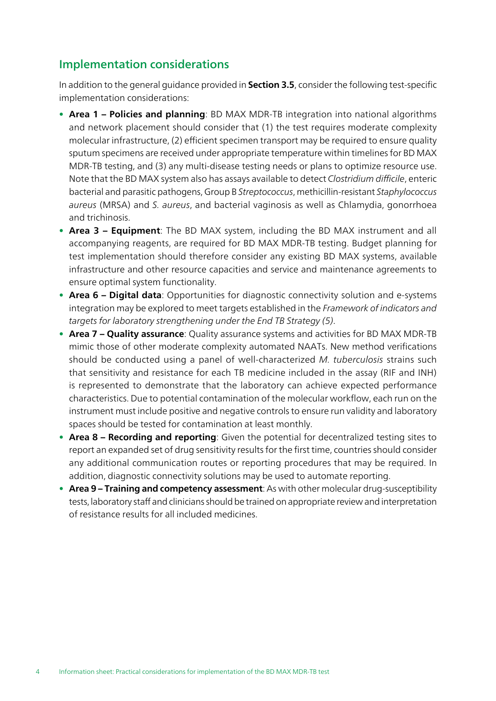# Implementation considerations

In addition to the general guidance provided in **Section 3.5**, consider the following test-specific implementation considerations:

- Area 1 Policies and planning: BD MAX MDR-TB integration into national algorithms and network placement should consider that (1) the test requires moderate complexity molecular infrastructure, (2) efficient specimen transport may be required to ensure quality sputum specimens are received under appropriate temperature within timelines for BD MAX MDR-TB testing, and (3) any multi-disease testing needs or plans to optimize resource use. Note that the BD MAX system also has assays available to detect Clostridium difficile, enteric bacterial and parasitic pathogens, Group B Streptococcus, methicillin-resistant Staphylococcus aureus (MRSA) and S. aureus, and bacterial vaginosis as well as Chlamydia, gonorrhoea and trichinosis.
- Area 3 Equipment: The BD MAX system, including the BD MAX instrument and all accompanying reagents, are required for BD MAX MDR-TB testing. Budget planning for test implementation should therefore consider any existing BD MAX systems, available infrastructure and other resource capacities and service and maintenance agreements to ensure optimal system functionality.
- Area 6 Digital data: Opportunities for diagnostic connectivity solution and e-systems integration may be explored to meet targets established in the Framework of indicators and targets for laboratory strengthening under the End TB Strategy (5).
- Area 7 Quality assurance: Quality assurance systems and activities for BD MAX MDR-TB mimic those of other moderate complexity automated NAATs. New method verifications should be conducted using a panel of well-characterized M. tuberculosis strains such that sensitivity and resistance for each TB medicine included in the assay (RIF and INH) is represented to demonstrate that the laboratory can achieve expected performance characteristics. Due to potential contamination of the molecular workflow, each run on the instrument must include positive and negative controls to ensure run validity and laboratory spaces should be tested for contamination at least monthly.
- Area 8 Recording and reporting: Given the potential for decentralized testing sites to report an expanded set of drug sensitivity results for the first time, countries should consider any additional communication routes or reporting procedures that may be required. In addition, diagnostic connectivity solutions may be used to automate reporting.
- Area 9 Training and competency assessment: As with other molecular drug-susceptibility tests, laboratory staff and clinicians should be trained on appropriate review and interpretation of resistance results for all included medicines.